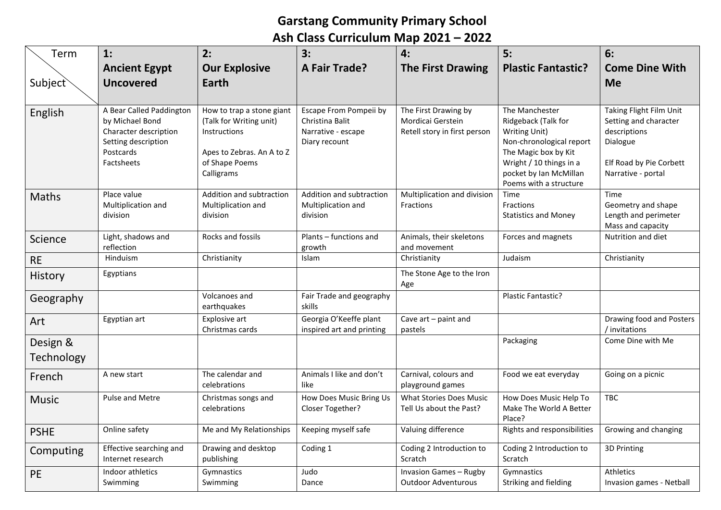## **Garstang Community Primary School Ash Class Curriculum Map 2021 – 2022**

| Term                   | 1:                                                                                                                     | 2:                                                                                                                                | 3:<br><b>A Fair Trade?</b>                                                       | 4:                                                                        | 5:<br><b>Plastic Fantastic?</b>                                                                                                                                                           | 6:<br><b>Come Dine With</b>                                                                                                   |
|------------------------|------------------------------------------------------------------------------------------------------------------------|-----------------------------------------------------------------------------------------------------------------------------------|----------------------------------------------------------------------------------|---------------------------------------------------------------------------|-------------------------------------------------------------------------------------------------------------------------------------------------------------------------------------------|-------------------------------------------------------------------------------------------------------------------------------|
| Subject                | <b>Ancient Egypt</b><br><b>Uncovered</b>                                                                               | <b>Our Explosive</b><br>Earth                                                                                                     |                                                                                  | <b>The First Drawing</b>                                                  |                                                                                                                                                                                           | <b>Me</b>                                                                                                                     |
| English                | A Bear Called Paddington<br>by Michael Bond<br>Character description<br>Setting description<br>Postcards<br>Factsheets | How to trap a stone giant<br>(Talk for Writing unit)<br>Instructions<br>Apes to Zebras. An A to Z<br>of Shape Poems<br>Calligrams | Escape From Pompeii by<br>Christina Balit<br>Narrative - escape<br>Diary recount | The First Drawing by<br>Mordicai Gerstein<br>Retell story in first person | The Manchester<br>Ridgeback (Talk for<br>Writing Unit)<br>Non-chronological report<br>The Magic box by Kit<br>Wright / 10 things in a<br>pocket by Ian McMillan<br>Poems with a structure | Taking Flight Film Unit<br>Setting and character<br>descriptions<br>Dialogue<br>Elf Road by Pie Corbett<br>Narrative - portal |
| Maths                  | Place value<br>Multiplication and<br>division                                                                          | Addition and subtraction<br>Multiplication and<br>division                                                                        | Addition and subtraction<br>Multiplication and<br>division                       | Multiplication and division<br>Fractions                                  | Time<br>Fractions<br><b>Statistics and Money</b>                                                                                                                                          | Time<br>Geometry and shape<br>Length and perimeter<br>Mass and capacity                                                       |
| Science                | Light, shadows and<br>reflection                                                                                       | Rocks and fossils                                                                                                                 | Plants - functions and<br>growth                                                 | Animals, their skeletons<br>and movement                                  | Forces and magnets                                                                                                                                                                        | Nutrition and diet                                                                                                            |
| <b>RE</b>              | Hinduism                                                                                                               | Christianity                                                                                                                      | Islam                                                                            | Christianity                                                              | Judaism                                                                                                                                                                                   | Christianity                                                                                                                  |
| History                | Egyptians                                                                                                              |                                                                                                                                   |                                                                                  | The Stone Age to the Iron<br>Age                                          |                                                                                                                                                                                           |                                                                                                                               |
| Geography              |                                                                                                                        | Volcanoes and<br>earthquakes                                                                                                      | Fair Trade and geography<br>skills                                               |                                                                           | Plastic Fantastic?                                                                                                                                                                        |                                                                                                                               |
| Art                    | Egyptian art                                                                                                           | Explosive art<br>Christmas cards                                                                                                  | Georgia O'Keeffe plant<br>inspired art and printing                              | Cave art - paint and<br>pastels                                           |                                                                                                                                                                                           | Drawing food and Posters<br>/ invitations                                                                                     |
| Design &<br>Technology |                                                                                                                        |                                                                                                                                   |                                                                                  |                                                                           | Packaging                                                                                                                                                                                 | Come Dine with Me                                                                                                             |
| French                 | A new start                                                                                                            | The calendar and<br>celebrations                                                                                                  | Animals I like and don't<br>like                                                 | Carnival, colours and<br>playground games                                 | Food we eat everyday                                                                                                                                                                      | Going on a picnic                                                                                                             |
| <b>Music</b>           | Pulse and Metre                                                                                                        | Christmas songs and<br>celebrations                                                                                               | How Does Music Bring Us<br>Closer Together?                                      | <b>What Stories Does Music</b><br>Tell Us about the Past?                 | How Does Music Help To<br>Make The World A Better<br>Place?                                                                                                                               | <b>TBC</b>                                                                                                                    |
| <b>PSHE</b>            | Online safety                                                                                                          | Me and My Relationships                                                                                                           | Keeping myself safe                                                              | Valuing difference                                                        | Rights and responsibilities                                                                                                                                                               | Growing and changing                                                                                                          |
| Computing              | Effective searching and<br>Internet research                                                                           | Drawing and desktop<br>publishing                                                                                                 | Coding 1                                                                         | Coding 2 Introduction to<br>Scratch                                       | Coding 2 Introduction to<br>Scratch                                                                                                                                                       | 3D Printing                                                                                                                   |
| PE                     | Indoor athletics<br>Swimming                                                                                           | Gymnastics<br>Swimming                                                                                                            | Judo<br>Dance                                                                    | <b>Invasion Games - Rugby</b><br><b>Outdoor Adventurous</b>               | Gymnastics<br>Striking and fielding                                                                                                                                                       | Athletics<br>Invasion games - Netball                                                                                         |